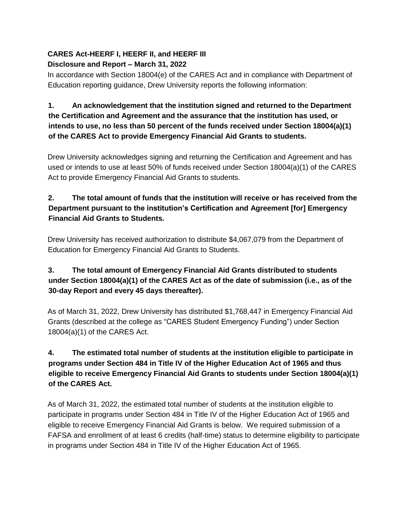#### **CARES Act-HEERF I, HEERF II, and HEERF III Disclosure and Report – March 31, 2022**

In accordance with Section 18004(e) of the CARES Act and in compliance with Department of Education reporting guidance, Drew University reports the following information:

## **1. An acknowledgement that the institution signed and returned to the Department the Certification and Agreement and the assurance that the institution has used, or intends to use, no less than 50 percent of the funds received under Section 18004(a)(1) of the CARES Act to provide Emergency Financial Aid Grants to students.**

Drew University acknowledges signing and returning the Certification and Agreement and has used or intends to use at least 50% of funds received under Section 18004(a)(1) of the CARES Act to provide Emergency Financial Aid Grants to students.

## **2. The total amount of funds that the institution will receive or has received from the Department pursuant to the institution's Certification and Agreement [for] Emergency Financial Aid Grants to Students.**

Drew University has received authorization to distribute \$4,067,079 from the Department of Education for Emergency Financial Aid Grants to Students.

## **3. The total amount of Emergency Financial Aid Grants distributed to students under Section 18004(a)(1) of the CARES Act as of the date of submission (i.e., as of the 30-day Report and every 45 days thereafter).**

As of March 31, 2022, Drew University has distributed \$1,768,447 in Emergency Financial Aid Grants (described at the college as "CARES Student Emergency Funding") under Section 18004(a)(1) of the CARES Act.

# **4. The estimated total number of students at the institution eligible to participate in programs under Section 484 in Title IV of the Higher Education Act of 1965 and thus eligible to receive Emergency Financial Aid Grants to students under Section 18004(a)(1) of the CARES Act.**

As of March 31, 2022, the estimated total number of students at the institution eligible to participate in programs under Section 484 in Title IV of the Higher Education Act of 1965 and eligible to receive Emergency Financial Aid Grants is below. We required submission of a FAFSA and enrollment of at least 6 credits (half-time) status to determine eligibility to participate in programs under Section 484 in Title IV of the Higher Education Act of 1965.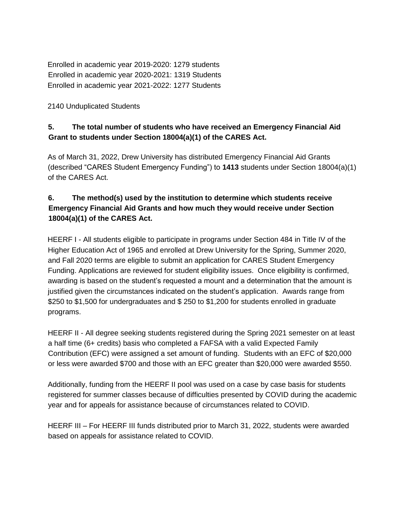Enrolled in academic year 2019-2020: 1279 students Enrolled in academic year 2020-2021: 1319 Students Enrolled in academic year 2021-2022: 1277 Students

2140 Unduplicated Students

## **5. The total number of students who have received an Emergency Financial Aid Grant to students under Section 18004(a)(1) of the CARES Act.**

As of March 31, 2022, Drew University has distributed Emergency Financial Aid Grants (described "CARES Student Emergency Funding") to **1413** students under Section 18004(a)(1) of the CARES Act.

## **6. The method(s) used by the institution to determine which students receive Emergency Financial Aid Grants and how much they would receive under Section 18004(a)(1) of the CARES Act.**

HEERF I - All students eligible to participate in programs under Section 484 in Title IV of the Higher Education Act of 1965 and enrolled at Drew University for the Spring, Summer 2020, and Fall 2020 terms are eligible to submit an application for CARES Student Emergency Funding. Applications are reviewed for student eligibility issues. Once eligibility is confirmed, awarding is based on the student's requested a mount and a determination that the amount is justified given the circumstances indicated on the student's application. Awards range from \$250 to \$1,500 for undergraduates and \$ 250 to \$1,200 for students enrolled in graduate programs.

HEERF II - All degree seeking students registered during the Spring 2021 semester on at least a half time (6+ credits) basis who completed a FAFSA with a valid Expected Family Contribution (EFC) were assigned a set amount of funding. Students with an EFC of \$20,000 or less were awarded \$700 and those with an EFC greater than \$20,000 were awarded \$550.

Additionally, funding from the HEERF II pool was used on a case by case basis for students registered for summer classes because of difficulties presented by COVID during the academic year and for appeals for assistance because of circumstances related to COVID.

HEERF III – For HEERF III funds distributed prior to March 31, 2022, students were awarded based on appeals for assistance related to COVID.